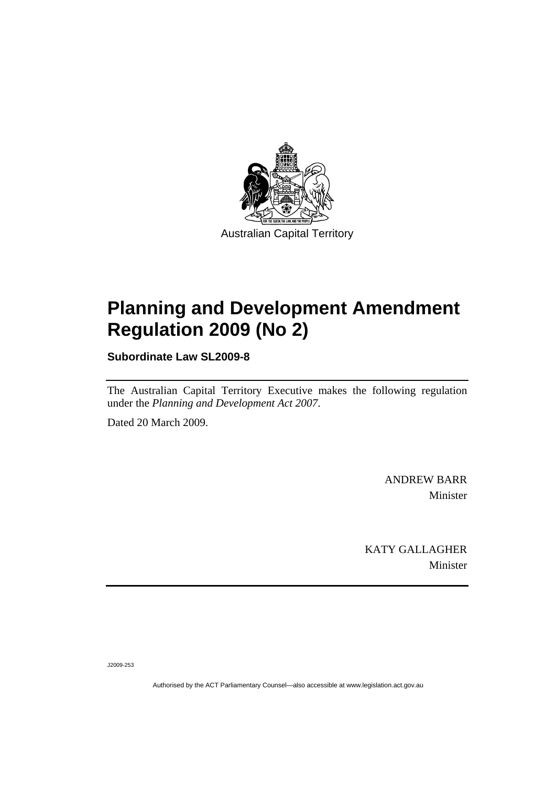

# **[Planning and Development Amendment](#page-2-0)  [Regulation 2009 \(No 2\)](#page-2-0)**

**Subordinate Law SL2009-8** 

The Australian Capital Territory Executive makes the following regulation under the *[Planning and Development Act 2007](#page-2-0)*.

Dated 20 March 2009.

ANDREW BARR Minister

KATY GALLAGHER Minister

J2009-253

Authorised by the ACT Parliamentary Counsel—also accessible at www.legislation.act.gov.au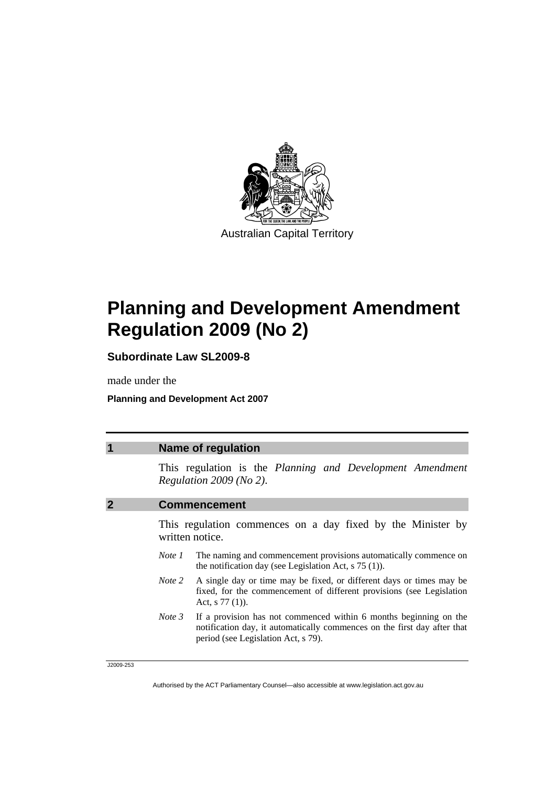<span id="page-2-0"></span>

# **Planning and Development Amendment Regulation 2009 (No 2)**

**Subordinate Law SL2009-8** 

made under the

**Planning and Development Act 2007** 

| <b>Name of regulation</b>                                                                                                                                                                          |
|----------------------------------------------------------------------------------------------------------------------------------------------------------------------------------------------------|
| This regulation is the Planning and Development Amendment<br>Regulation $2009$ (No 2).                                                                                                             |
| <b>Commencement</b>                                                                                                                                                                                |
| This regulation commences on a day fixed by the Minister by<br>written notice.                                                                                                                     |
| The naming and commencement provisions automatically commence on<br>Note 1<br>the notification day (see Legislation Act, $s$ 75 (1)).                                                              |
| <i>Note</i> 2 A single day or time may be fixed, or different days or times may be<br>fixed, for the commencement of different provisions (see Legislation<br>Act, $s$ 77 (1)).                    |
| <i>Note 3</i> If a provision has not commenced within 6 months beginning on the<br>notification day, it automatically commences on the first day after that<br>period (see Legislation Act, s 79). |

J2009-253

Authorised by the ACT Parliamentary Counsel—also accessible at www.legislation.act.gov.au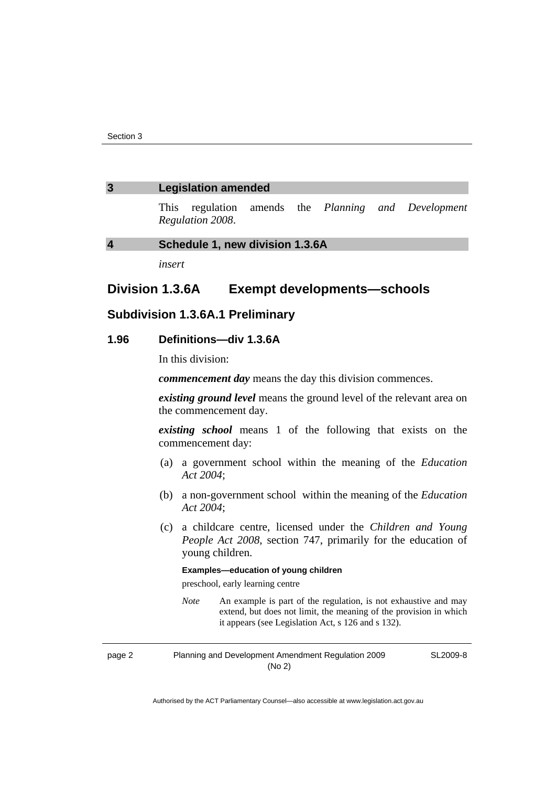### **3 Legislation amended**

This regulation amends the *Planning and Development Regulation 2008*.

## **4 Schedule 1, new division 1.3.6A**

*insert* 

# **Division 1.3.6A Exempt developments—schools**

# **Subdivision 1.3.6A.1 Preliminary**

## **1.96 Definitions—div 1.3.6A**

In this division:

*commencement day* means the day this division commences.

*existing ground level* means the ground level of the relevant area on the commencement day.

*existing school* means 1 of the following that exists on the commencement day:

- (a) a government school within the meaning of the *Education Act 2004*;
- (b) a non-government school within the meaning of the *Education Act 2004*;
- (c) a childcare centre, licensed under the *Children and Young People Act 2008*, section 747, primarily for the education of young children.

#### **Examples—education of young children**

preschool, early learning centre

*Note* An example is part of the regulation, is not exhaustive and may extend, but does not limit, the meaning of the provision in which it appears (see Legislation Act, s 126 and s 132).

page 2 Planning and Development Amendment Regulation 2009 (No 2)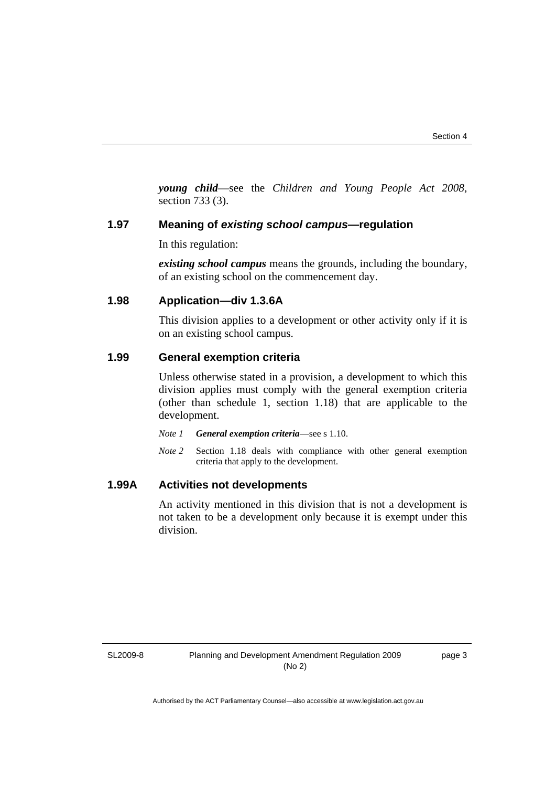*young child*—see the *Children and Young People Act 2008*, section 733 (3).

## **1.97 Meaning of** *existing school campus***—regulation**

In this regulation:

*existing school campus* means the grounds, including the boundary, of an existing school on the commencement day.

# **1.98 Application—div 1.3.6A**

This division applies to a development or other activity only if it is on an existing school campus.

# **1.99 General exemption criteria**

Unless otherwise stated in a provision, a development to which this division applies must comply with the general exemption criteria (other than schedule 1, section 1.18) that are applicable to the development.

- *Note 1 General exemption criteria*—see s 1.10.
- *Note 2* Section 1.18 deals with compliance with other general exemption criteria that apply to the development.

# **1.99A Activities not developments**

An activity mentioned in this division that is not a development is not taken to be a development only because it is exempt under this division.

SL2009-8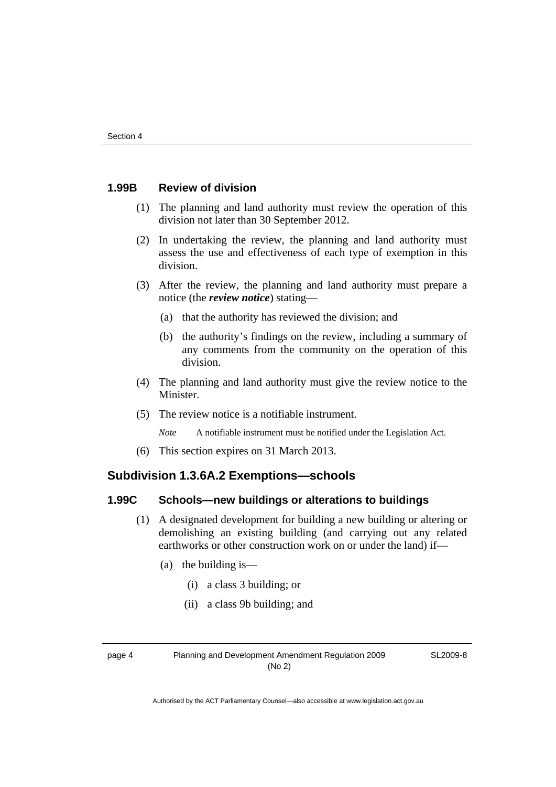# **1.99B Review of division**

- (1) The planning and land authority must review the operation of this division not later than 30 September 2012.
- (2) In undertaking the review, the planning and land authority must assess the use and effectiveness of each type of exemption in this division.
- (3) After the review, the planning and land authority must prepare a notice (the *review notice*) stating—
	- (a) that the authority has reviewed the division; and
	- (b) the authority's findings on the review, including a summary of any comments from the community on the operation of this division.
- (4) The planning and land authority must give the review notice to the Minister.
- (5) The review notice is a notifiable instrument.

*Note* A notifiable instrument must be notified under the Legislation Act.

(6) This section expires on 31 March 2013.

# **Subdivision 1.3.6A.2 Exemptions—schools**

# **1.99C Schools—new buildings or alterations to buildings**

- (1) A designated development for building a new building or altering or demolishing an existing building (and carrying out any related earthworks or other construction work on or under the land) if—
	- (a) the building is—
		- (i) a class 3 building; or
		- (ii) a class 9b building; and

page 4 Planning and Development Amendment Regulation 2009 (No 2)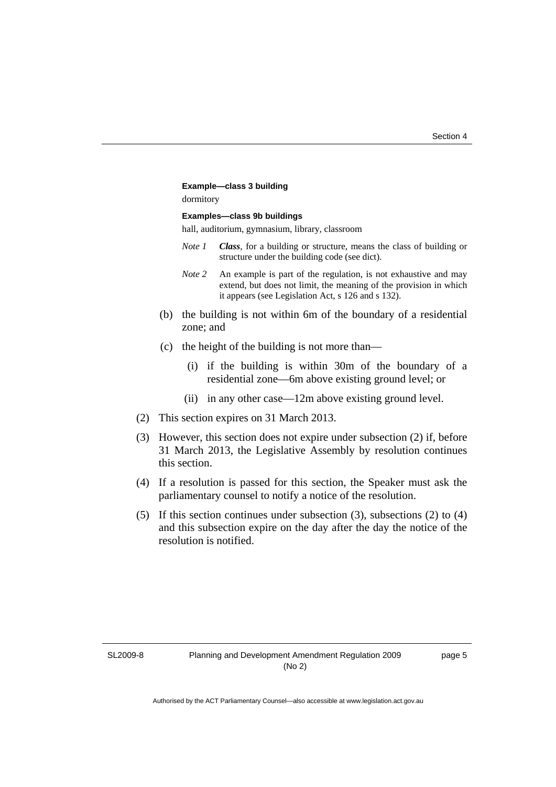#### **Example—class 3 building**

dormitory

#### **Examples—class 9b buildings**

hall, auditorium, gymnasium, library, classroom

- *Note 1 Class*, for a building or structure, means the class of building or structure under the building code (see dict).
- *Note 2* An example is part of the regulation, is not exhaustive and may extend, but does not limit, the meaning of the provision in which it appears (see Legislation Act, s 126 and s 132).
- (b) the building is not within 6m of the boundary of a residential zone; and
- (c) the height of the building is not more than—
	- (i) if the building is within 30m of the boundary of a residential zone—6m above existing ground level; or
	- (ii) in any other case—12m above existing ground level.
- (2) This section expires on 31 March 2013.
- (3) However, this section does not expire under subsection (2) if, before 31 March 2013, the Legislative Assembly by resolution continues this section.
- (4) If a resolution is passed for this section, the Speaker must ask the parliamentary counsel to notify a notice of the resolution.
- (5) If this section continues under subsection (3), subsections (2) to (4) and this subsection expire on the day after the day the notice of the resolution is notified.

SL2009-8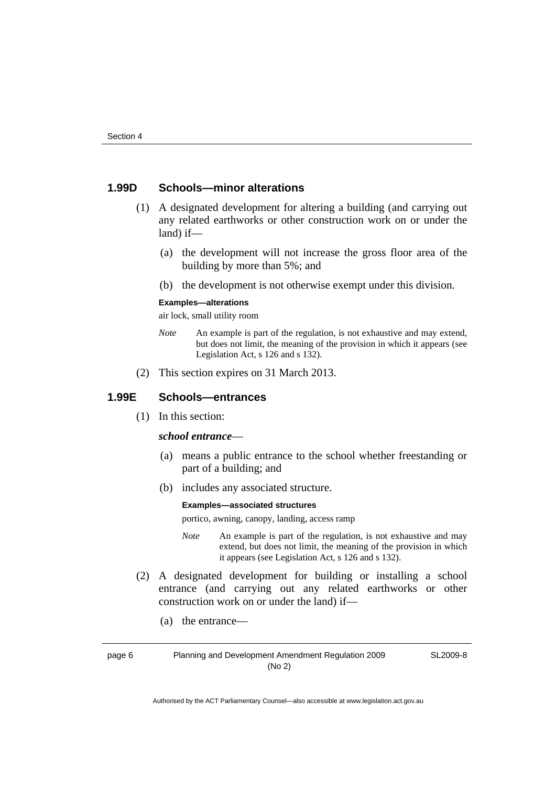# **1.99D Schools—minor alterations**

- (1) A designated development for altering a building (and carrying out any related earthworks or other construction work on or under the land) if—
	- (a) the development will not increase the gross floor area of the building by more than 5%; and
	- (b) the development is not otherwise exempt under this division.

#### **Examples—alterations**

air lock, small utility room

- *Note* An example is part of the regulation, is not exhaustive and may extend, but does not limit, the meaning of the provision in which it appears (see Legislation Act, s 126 and s 132).
- (2) This section expires on 31 March 2013.

## **1.99E Schools—entrances**

(1) In this section:

### *school entrance*—

- (a) means a public entrance to the school whether freestanding or part of a building; and
- (b) includes any associated structure.

#### **Examples—associated structures**

portico, awning, canopy, landing, access ramp

- *Note* An example is part of the regulation, is not exhaustive and may extend, but does not limit, the meaning of the provision in which it appears (see Legislation Act, s 126 and s 132).
- (2) A designated development for building or installing a school entrance (and carrying out any related earthworks or other construction work on or under the land) if—
	- (a) the entrance—

page 6 Planning and Development Amendment Regulation 2009 (No 2)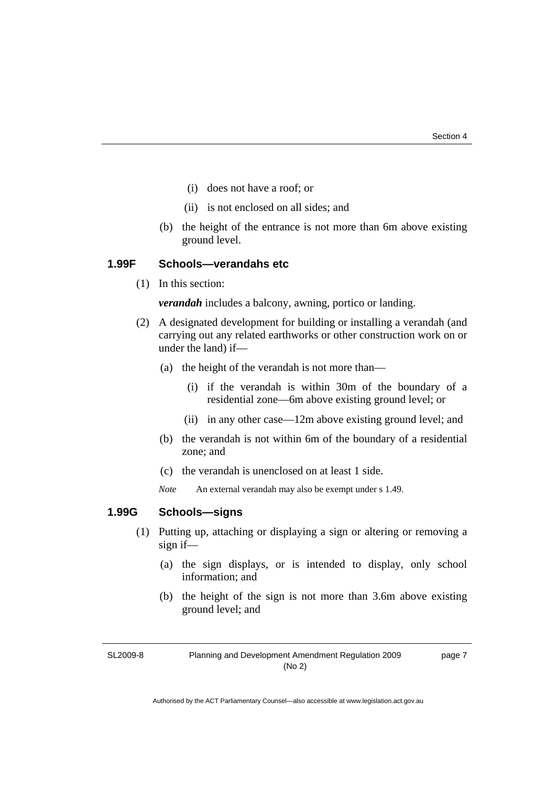- (i) does not have a roof; or
- (ii) is not enclosed on all sides; and
- (b) the height of the entrance is not more than 6m above existing ground level.

# **1.99F Schools—verandahs etc**

(1) In this section:

*verandah* includes a balcony, awning, portico or landing.

- (2) A designated development for building or installing a verandah (and carrying out any related earthworks or other construction work on or under the land) if—
	- (a) the height of the verandah is not more than—
		- (i) if the verandah is within 30m of the boundary of a residential zone—6m above existing ground level; or
		- (ii) in any other case—12m above existing ground level; and
	- (b) the verandah is not within 6m of the boundary of a residential zone; and
	- (c) the verandah is unenclosed on at least 1 side.
	- *Note* An external verandah may also be exempt under s 1.49.

## **1.99G Schools—signs**

- (1) Putting up, attaching or displaying a sign or altering or removing a sign if—
	- (a) the sign displays, or is intended to display, only school information; and
	- (b) the height of the sign is not more than 3.6m above existing ground level; and

SL2009-8

Planning and Development Amendment Regulation 2009 (No 2)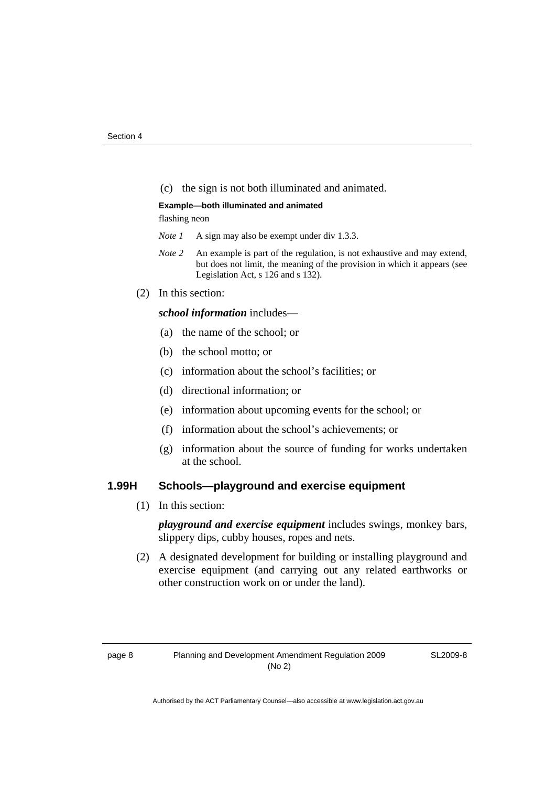(c) the sign is not both illuminated and animated.

#### **Example—both illuminated and animated**

flashing neon

- *Note 1* A sign may also be exempt under div 1.3.3.
- *Note 2* An example is part of the regulation, is not exhaustive and may extend, but does not limit, the meaning of the provision in which it appears (see Legislation Act, s 126 and s 132).
- (2) In this section:

## *school information* includes—

- (a) the name of the school; or
- (b) the school motto; or
- (c) information about the school's facilities; or
- (d) directional information; or
- (e) information about upcoming events for the school; or
- (f) information about the school's achievements; or
- (g) information about the source of funding for works undertaken at the school.

# **1.99H Schools—playground and exercise equipment**

(1) In this section:

*playground and exercise equipment* includes swings, monkey bars, slippery dips, cubby houses, ropes and nets.

 (2) A designated development for building or installing playground and exercise equipment (and carrying out any related earthworks or other construction work on or under the land).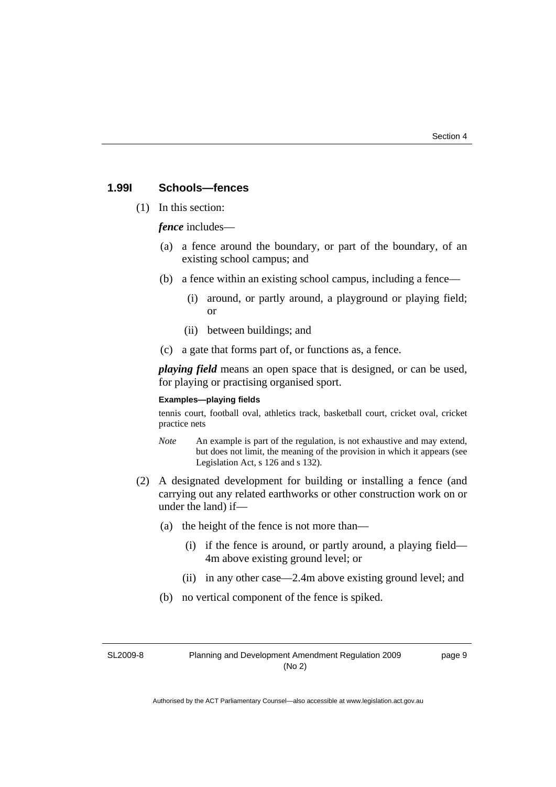## **1.99I Schools—fences**

(1) In this section:

*fence* includes—

- (a) a fence around the boundary, or part of the boundary, of an existing school campus; and
- (b) a fence within an existing school campus, including a fence—
	- (i) around, or partly around, a playground or playing field; or
	- (ii) between buildings; and
- (c) a gate that forms part of, or functions as, a fence.

*playing field* means an open space that is designed, or can be used, for playing or practising organised sport.

#### **Examples—playing fields**

tennis court, football oval, athletics track, basketball court, cricket oval, cricket practice nets

- *Note* An example is part of the regulation, is not exhaustive and may extend, but does not limit, the meaning of the provision in which it appears (see Legislation Act, s 126 and s 132).
- (2) A designated development for building or installing a fence (and carrying out any related earthworks or other construction work on or under the land) if—
	- (a) the height of the fence is not more than—
		- (i) if the fence is around, or partly around, a playing field— 4m above existing ground level; or
		- (ii) in any other case—2.4m above existing ground level; and
	- (b) no vertical component of the fence is spiked.

SL2009-8

Planning and Development Amendment Regulation 2009 (No 2)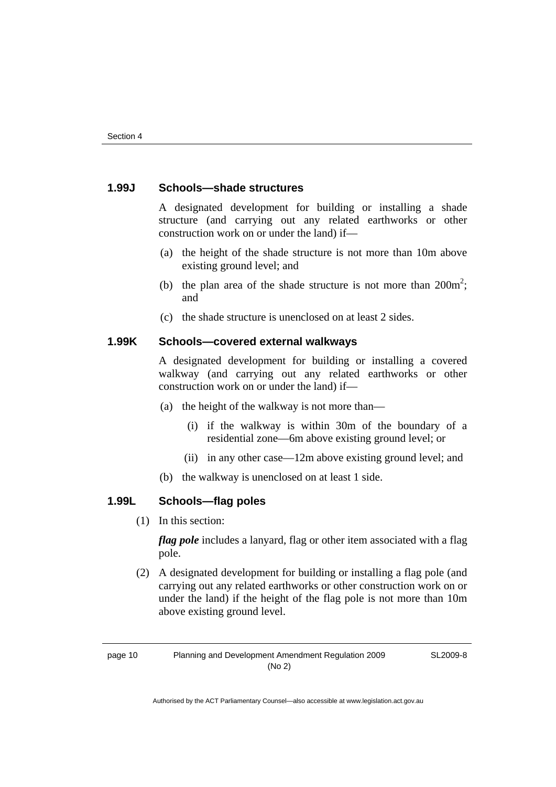# **1.99J Schools—shade structures**

A designated development for building or installing a shade structure (and carrying out any related earthworks or other construction work on or under the land) if—

- (a) the height of the shade structure is not more than 10m above existing ground level; and
- (b) the plan area of the shade structure is not more than  $200m^2$ ; and
	- (c) the shade structure is unenclosed on at least 2 sides.

# **1.99K Schools—covered external walkways**

A designated development for building or installing a covered walkway (and carrying out any related earthworks or other construction work on or under the land) if—

- (a) the height of the walkway is not more than—
	- (i) if the walkway is within 30m of the boundary of a residential zone—6m above existing ground level; or
	- (ii) in any other case—12m above existing ground level; and
- (b) the walkway is unenclosed on at least 1 side.

# **1.99L Schools—flag poles**

(1) In this section:

*flag pole* includes a lanyard, flag or other item associated with a flag pole.

 (2) A designated development for building or installing a flag pole (and carrying out any related earthworks or other construction work on or under the land) if the height of the flag pole is not more than 10m above existing ground level.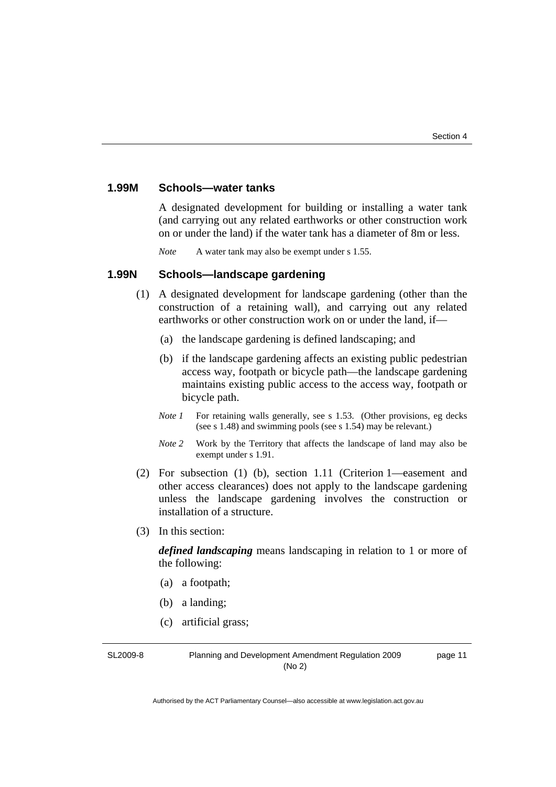# **1.99M Schools—water tanks**

A designated development for building or installing a water tank (and carrying out any related earthworks or other construction work on or under the land) if the water tank has a diameter of 8m or less.

*Note* A water tank may also be exempt under s 1.55.

## **1.99N Schools—landscape gardening**

- (1) A designated development for landscape gardening (other than the construction of a retaining wall), and carrying out any related earthworks or other construction work on or under the land, if—
	- (a) the landscape gardening is defined landscaping; and
	- (b) if the landscape gardening affects an existing public pedestrian access way, footpath or bicycle path—the landscape gardening maintains existing public access to the access way, footpath or bicycle path.
	- *Note 1* For retaining walls generally, see s 1.53. (Other provisions, eg decks (see s 1.48) and swimming pools (see s 1.54) may be relevant.)
	- *Note 2* Work by the Territory that affects the landscape of land may also be exempt under s 1.91.
- (2) For subsection (1) (b), section 1.11 (Criterion 1—easement and other access clearances) does not apply to the landscape gardening unless the landscape gardening involves the construction or installation of a structure.
- (3) In this section:

*defined landscaping* means landscaping in relation to 1 or more of the following:

- (a) a footpath;
- (b) a landing;
- (c) artificial grass;

SL2009-8

Planning and Development Amendment Regulation 2009 (No 2)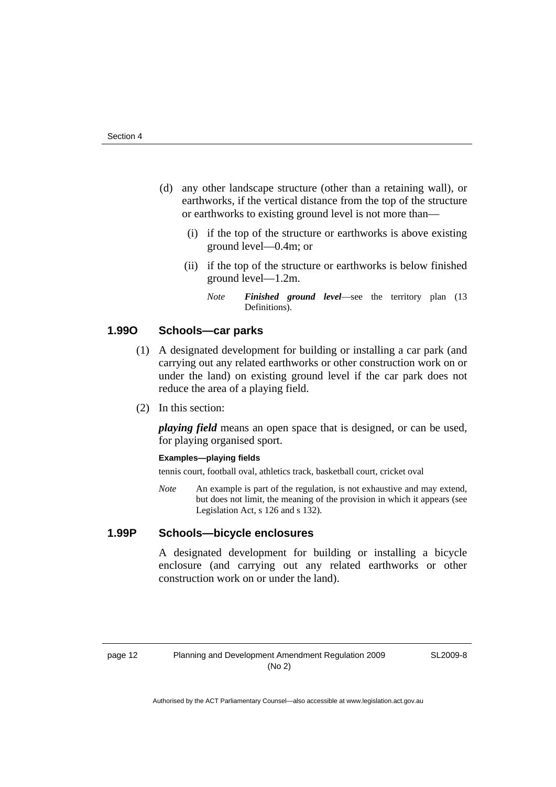- (d) any other landscape structure (other than a retaining wall), or earthworks, if the vertical distance from the top of the structure or earthworks to existing ground level is not more than—
	- (i) if the top of the structure or earthworks is above existing ground level—0.4m; or
	- (ii) if the top of the structure or earthworks is below finished ground level—1.2m.
		- *Note Finished ground level*—see the territory plan (13 Definitions).

# **1.99O Schools—car parks**

- (1) A designated development for building or installing a car park (and carrying out any related earthworks or other construction work on or under the land) on existing ground level if the car park does not reduce the area of a playing field.
- (2) In this section:

*playing field* means an open space that is designed, or can be used, for playing organised sport.

#### **Examples—playing fields**

tennis court, football oval, athletics track, basketball court, cricket oval

*Note* An example is part of the regulation, is not exhaustive and may extend, but does not limit, the meaning of the provision in which it appears (see Legislation Act, s 126 and s 132).

#### **1.99P Schools—bicycle enclosures**

A designated development for building or installing a bicycle enclosure (and carrying out any related earthworks or other construction work on or under the land).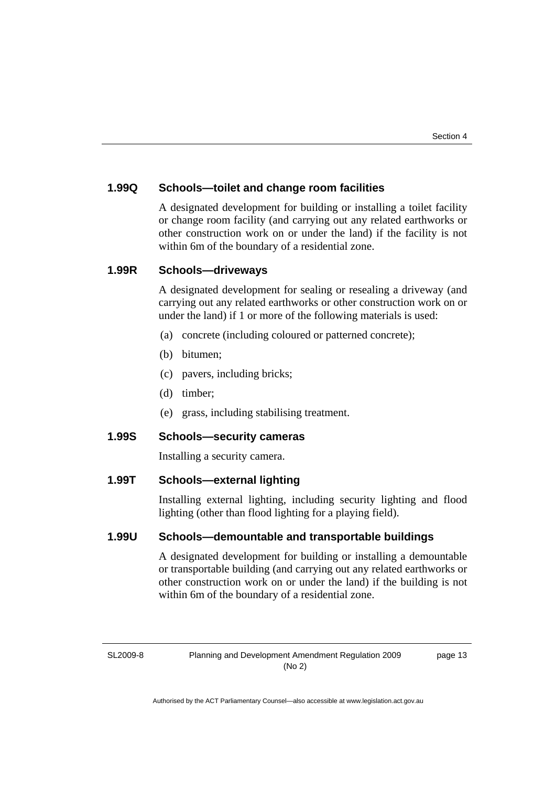# **1.99Q Schools—toilet and change room facilities**

A designated development for building or installing a toilet facility or change room facility (and carrying out any related earthworks or other construction work on or under the land) if the facility is not within 6m of the boundary of a residential zone.

## **1.99R Schools—driveways**

A designated development for sealing or resealing a driveway (and carrying out any related earthworks or other construction work on or under the land) if 1 or more of the following materials is used:

- (a) concrete (including coloured or patterned concrete);
- (b) bitumen;
- (c) pavers, including bricks;
- (d) timber;
- (e) grass, including stabilising treatment.

# **1.99S Schools—security cameras**

Installing a security camera.

# **1.99T Schools—external lighting**

Installing external lighting, including security lighting and flood lighting (other than flood lighting for a playing field).

# **1.99U Schools—demountable and transportable buildings**

A designated development for building or installing a demountable or transportable building (and carrying out any related earthworks or other construction work on or under the land) if the building is not within 6m of the boundary of a residential zone.

SL2009-8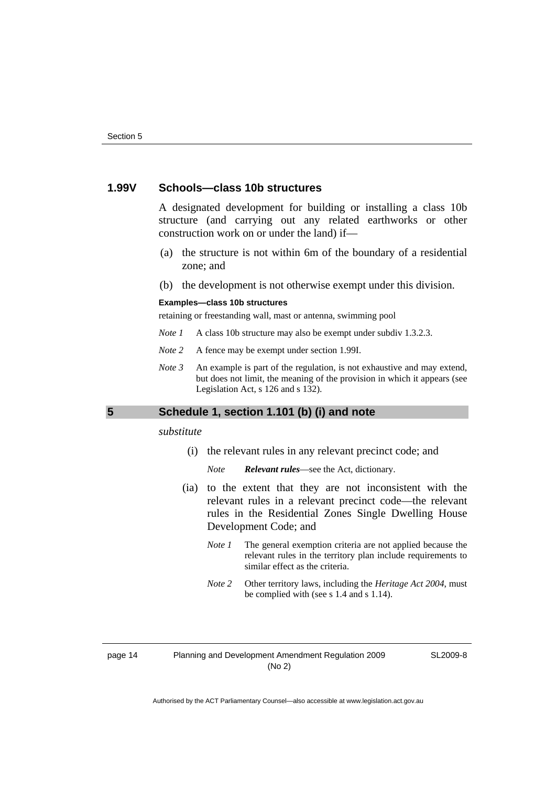# **1.99V Schools—class 10b structures**

A designated development for building or installing a class 10b structure (and carrying out any related earthworks or other construction work on or under the land) if—

- (a) the structure is not within 6m of the boundary of a residential zone; and
- (b) the development is not otherwise exempt under this division.

#### **Examples—class 10b structures**

retaining or freestanding wall, mast or antenna, swimming pool

- *Note 1* A class 10b structure may also be exempt under subdiv 1.3.2.3.
- *Note 2* A fence may be exempt under section 1.99I.
- *Note 3* An example is part of the regulation, is not exhaustive and may extend, but does not limit, the meaning of the provision in which it appears (see Legislation Act, s 126 and s 132).

## **5 Schedule 1, section 1.101 (b) (i) and note**

### *substitute*

(i) the relevant rules in any relevant precinct code; and

*Note Relevant rules*—see the Act, dictionary.

- (ia) to the extent that they are not inconsistent with the relevant rules in a relevant precinct code—the relevant rules in the Residential Zones Single Dwelling House Development Code; and
	- *Note 1* The general exemption criteria are not applied because the relevant rules in the territory plan include requirements to similar effect as the criteria.
	- *Note 2* Other territory laws, including the *Heritage Act 2004*, must be complied with (see s 1.4 and s 1.14).